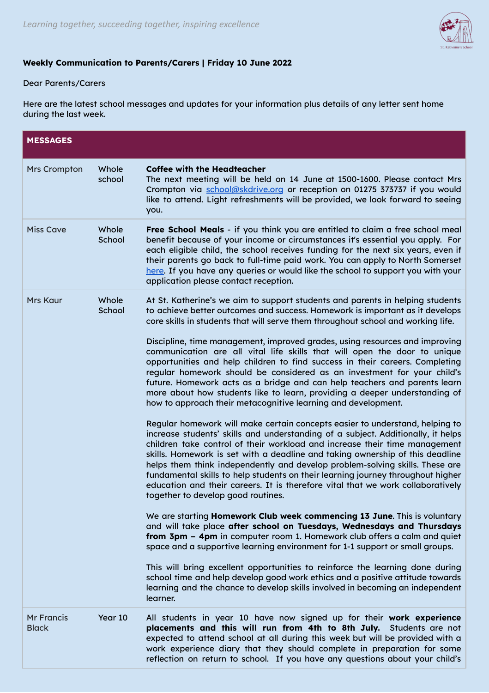

## **Weekly Communication to Parents/Carers | Friday 10 June 2022**

## Dear Parents/Carers

Here are the latest school messages and updates for your information plus details of any letter sent home during the last week.

| <b>MESSAGES</b>                   |                 |                                                                                                                                                                                                                                                                                                                                                                                                                                                                                                                                                                                                                                                                                                                                                                                                                                                                                                                                                                                                                                                                                                                                                                                                                                                                                                                                                                                                                                                                                                                                                                                                                                                                                                                                                                                                                                                                                                                                                                                                                      |  |
|-----------------------------------|-----------------|----------------------------------------------------------------------------------------------------------------------------------------------------------------------------------------------------------------------------------------------------------------------------------------------------------------------------------------------------------------------------------------------------------------------------------------------------------------------------------------------------------------------------------------------------------------------------------------------------------------------------------------------------------------------------------------------------------------------------------------------------------------------------------------------------------------------------------------------------------------------------------------------------------------------------------------------------------------------------------------------------------------------------------------------------------------------------------------------------------------------------------------------------------------------------------------------------------------------------------------------------------------------------------------------------------------------------------------------------------------------------------------------------------------------------------------------------------------------------------------------------------------------------------------------------------------------------------------------------------------------------------------------------------------------------------------------------------------------------------------------------------------------------------------------------------------------------------------------------------------------------------------------------------------------------------------------------------------------------------------------------------------------|--|
| <b>Mrs Crompton</b>               | Whole<br>school | <b>Coffee with the Headteacher</b><br>The next meeting will be held on 14 June at 1500-1600. Please contact Mrs<br>Crompton via school@skdrive.org or reception on 01275 373737 if you would<br>like to attend. Light refreshments will be provided, we look forward to seeing<br>you.                                                                                                                                                                                                                                                                                                                                                                                                                                                                                                                                                                                                                                                                                                                                                                                                                                                                                                                                                                                                                                                                                                                                                                                                                                                                                                                                                                                                                                                                                                                                                                                                                                                                                                                               |  |
| <b>Miss Cave</b>                  | Whole<br>School | Free School Meals - if you think you are entitled to claim a free school meal<br>benefit because of your income or circumstances it's essential you apply. For<br>each eligible child, the school receives funding for the next six years, even if<br>their parents go back to full-time paid work. You can apply to North Somerset<br>here. If you have any queries or would like the school to support you with your<br>application please contact reception.                                                                                                                                                                                                                                                                                                                                                                                                                                                                                                                                                                                                                                                                                                                                                                                                                                                                                                                                                                                                                                                                                                                                                                                                                                                                                                                                                                                                                                                                                                                                                      |  |
| <b>Mrs Kaur</b>                   | Whole<br>School | At St. Katherine's we aim to support students and parents in helping students<br>to achieve better outcomes and success. Homework is important as it develops<br>core skills in students that will serve them throughout school and working life.<br>Discipline, time management, improved grades, using resources and improving<br>communication are all vital life skills that will open the door to unique<br>opportunities and help children to find success in their careers. Completing<br>regular homework should be considered as an investment for your child's<br>future. Homework acts as a bridge and can help teachers and parents learn<br>more about how students like to learn, providing a deeper understanding of<br>how to approach their metacognitive learning and development.<br>Regular homework will make certain concepts easier to understand, helping to<br>increase students' skills and understanding of a subject. Additionally, it helps<br>children take control of their workload and increase their time management<br>skills. Homework is set with a deadline and taking ownership of this deadline<br>helps them think independently and develop problem-solving skills. These are<br>fundamental skills to help students on their learning journey throughout higher<br>education and their careers. It is therefore vital that we work collaboratively<br>together to develop good routines.<br>We are starting Homework Club week commencing 13 June. This is voluntary<br>and will take place after school on Tuesdays, Wednesdays and Thursdays<br>from 3pm - 4pm in computer room 1. Homework club offers a calm and quiet<br>space and a supportive learning environment for 1-1 support or small groups.<br>This will bring excellent opportunities to reinforce the learning done during<br>school time and help develop good work ethics and a positive attitude towards<br>learning and the chance to develop skills involved in becoming an independent<br>learner. |  |
| <b>Mr Francis</b><br><b>Black</b> | Year 10         | All students in year 10 have now signed up for their work experience<br>placements and this will run from 4th to 8th July. Students are not<br>expected to attend school at all during this week but will be provided with a<br>work experience diary that they should complete in preparation for some<br>reflection on return to school. If you have any questions about your child's                                                                                                                                                                                                                                                                                                                                                                                                                                                                                                                                                                                                                                                                                                                                                                                                                                                                                                                                                                                                                                                                                                                                                                                                                                                                                                                                                                                                                                                                                                                                                                                                                              |  |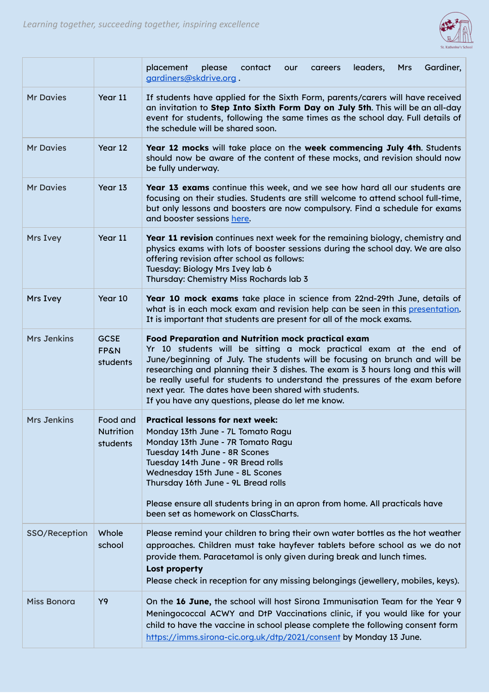

|                    |                                            | Gardiner,<br>placement<br>please<br>contact<br>leaders,<br><b>Mrs</b><br>our<br>careers<br>gardiners@skdrive.org.                                                                                                                                                                                                                                                                                                                                                                       |
|--------------------|--------------------------------------------|-----------------------------------------------------------------------------------------------------------------------------------------------------------------------------------------------------------------------------------------------------------------------------------------------------------------------------------------------------------------------------------------------------------------------------------------------------------------------------------------|
| <b>Mr Davies</b>   | Year 11                                    | If students have applied for the Sixth Form, parents/carers will have received<br>an invitation to Step Into Sixth Form Day on July 5th. This will be an all-day<br>event for students, following the same times as the school day. Full details of<br>the schedule will be shared soon.                                                                                                                                                                                                |
| <b>Mr Davies</b>   | Year 12                                    | Year 12 mocks will take place on the week commencing July 4th. Students<br>should now be aware of the content of these mocks, and revision should now<br>be fully underway.                                                                                                                                                                                                                                                                                                             |
| <b>Mr Davies</b>   | Year 13                                    | Year 13 exams continue this week, and we see how hard all our students are<br>focusing on their studies. Students are still welcome to attend school full-time,<br>but only lessons and boosters are now compulsory. Find a schedule for exams<br>and booster sessions here.                                                                                                                                                                                                            |
| Mrs Ivey           | Year 11                                    | Year 11 revision continues next week for the remaining biology, chemistry and<br>physics exams with lots of booster sessions during the school day. We are also<br>offering revision after school as follows:<br>Tuesday: Biology Mrs Ivey lab 6<br>Thursday: Chemistry Miss Rochards lab 3                                                                                                                                                                                             |
| Mrs Ivey           | Year 10                                    | Year 10 mock exams take place in science from 22nd-29th June, details of<br>what is in each mock exam and revision help can be seen in this presentation.<br>It is important that students are present for all of the mock exams.                                                                                                                                                                                                                                                       |
| <b>Mrs Jenkins</b> | <b>GCSE</b><br><b>FP&amp;N</b><br>students | Food Preparation and Nutrition mock practical exam<br>Yr 10 students will be sitting a mock practical exam at the end of<br>June/beginning of July. The students will be focusing on brunch and will be<br>researching and planning their 3 dishes. The exam is 3 hours long and this will<br>be really useful for students to understand the pressures of the exam before<br>next year. The dates have been shared with students.<br>If you have any questions, please do let me know. |
| <b>Mrs Jenkins</b> | Food and<br><b>Nutrition</b><br>students   | <b>Practical lessons for next week:</b><br>Monday 13th June - 7L Tomato Ragu<br>Monday 13th June - 7R Tomato Ragu<br>Tuesday 14th June - 8R Scones<br>Tuesday 14th June - 9R Bread rolls<br>Wednesday 15th June - 8L Scones<br>Thursday 16th June - 9L Bread rolls<br>Please ensure all students bring in an apron from home. All practicals have<br>been set as homework on ClassCharts.                                                                                               |
| SSO/Reception      | Whole<br>school                            | Please remind your children to bring their own water bottles as the hot weather<br>approaches. Children must take hayfever tablets before school as we do not<br>provide them. Paracetamol is only given during break and lunch times.<br><b>Lost property</b><br>Please check in reception for any missing belongings (jewellery, mobiles, keys).                                                                                                                                      |
| Miss Bonora        | Y9                                         | On the 16 June, the school will host Sirona Immunisation Team for the Year 9<br>Meningococcal ACWY and DtP Vaccinations clinic, if you would like for your<br>child to have the vaccine in school please complete the following consent form<br>https://imms.sirona-cic.org.uk/dtp/2021/consent by Monday 13 June.                                                                                                                                                                      |